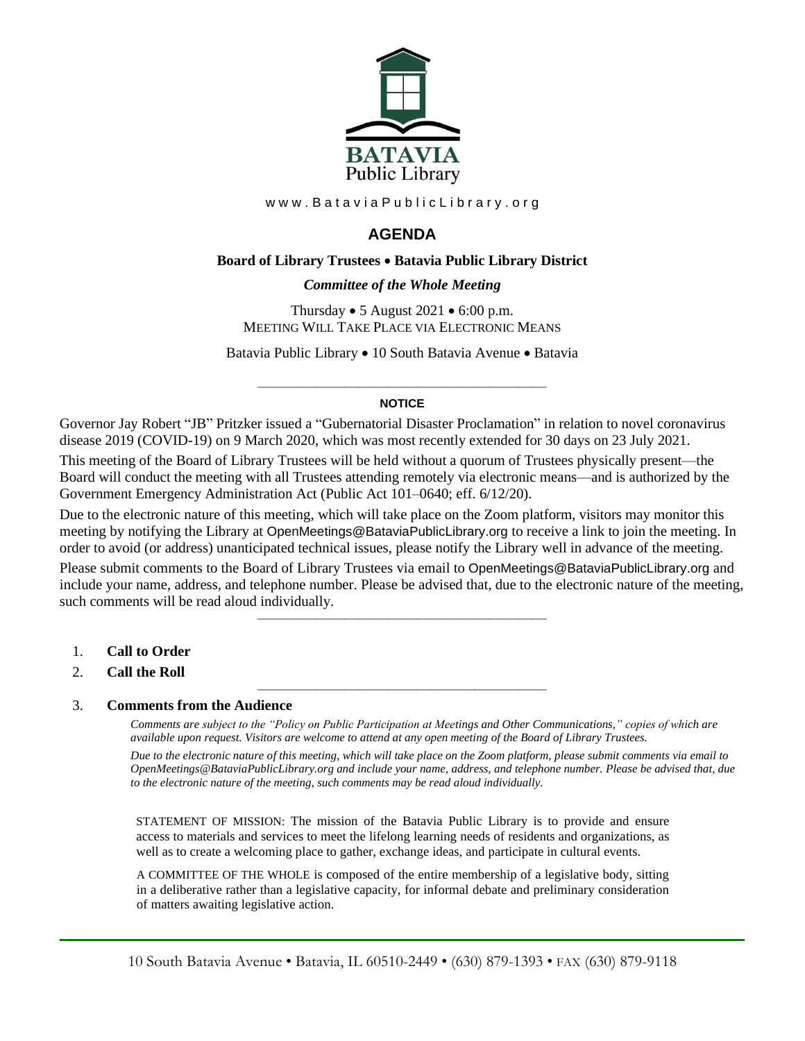

www.BataviaPublicLibrary.org

# **AGENDA**

### **Board of Library Trustees** • **Batavia Public Library District**

### *0BCommittee of the Whole Meeting*

Thursday  $\bullet$  5 August 2021  $\bullet$  6:00 p.m. MEETING WILL TAKE PLACE VIA ELECTRONIC MEANS

Batavia Public Library • 10 South Batavia Avenue • Batavia

#### ———————————————————— **NOTICE**

Governor Jay Robert "JB" Pritzker issued a "Gubernatorial Disaster Proclamation" in relation to novel coronavirus disease 2019 (COVID-19) on 9 March 2020, which was most recently extended for 30 days on 23 July 2021.

This meeting of the Board of Library Trustees will be held without a quorum of Trustees physically present—the Board will conduct the meeting with all Trustees attending remotely via electronic means—and is authorized by the Government Emergency Administration Act (Public Act 101–0640; eff. 6/12/20).

Due to the electronic nature of this meeting, which will take place on the Zoom platform, visitors may monitor this meeting by notifying the Library at OpenMeetings@BataviaPublicLibrary.org to receive a link to join the meeting. In order to avoid (or address) unanticipated technical issues, please notify the Library well in advance of the meeting.

Please submit comments to the Board of Library Trustees via email to OpenMeetings@BataviaPublicLibrary.org and include your name, address, and telephone number. Please be advised that, due to the electronic nature of the meeting, such comments will be read aloud individually.

————————————————————

————————————————————

- 1. **Call to Order**
- 2. **Call the Roll**

### 3. **Comments from the Audience**

*Comments are subject to the "Policy on Public Participation at Meetings and Other Communications," copies of which are available upon request. Visitors are welcome to attend at any open meeting of the Board of Library Trustees. Due to the electronic nature of this meeting, which will take place on the Zoom platform, please submit comments via email to OpenMeetings@BataviaPublicLibrary.org and include your name, address, and telephone number. Please be advised that, due to the electronic nature of the meeting, such comments may be read aloud individually.*

STATEMENT OF MISSION: The mission of the Batavia Public Library is to provide and ensure access to materials and services to meet the lifelong learning needs of residents and organizations, as well as to create a welcoming place to gather, exchange ideas, and participate in cultural events.

A COMMITTEE OF THE WHOLE is composed of the entire membership of a legislative body, sitting in a deliberative rather than a legislative capacity, for informal debate and preliminary consideration of matters awaiting legislative action.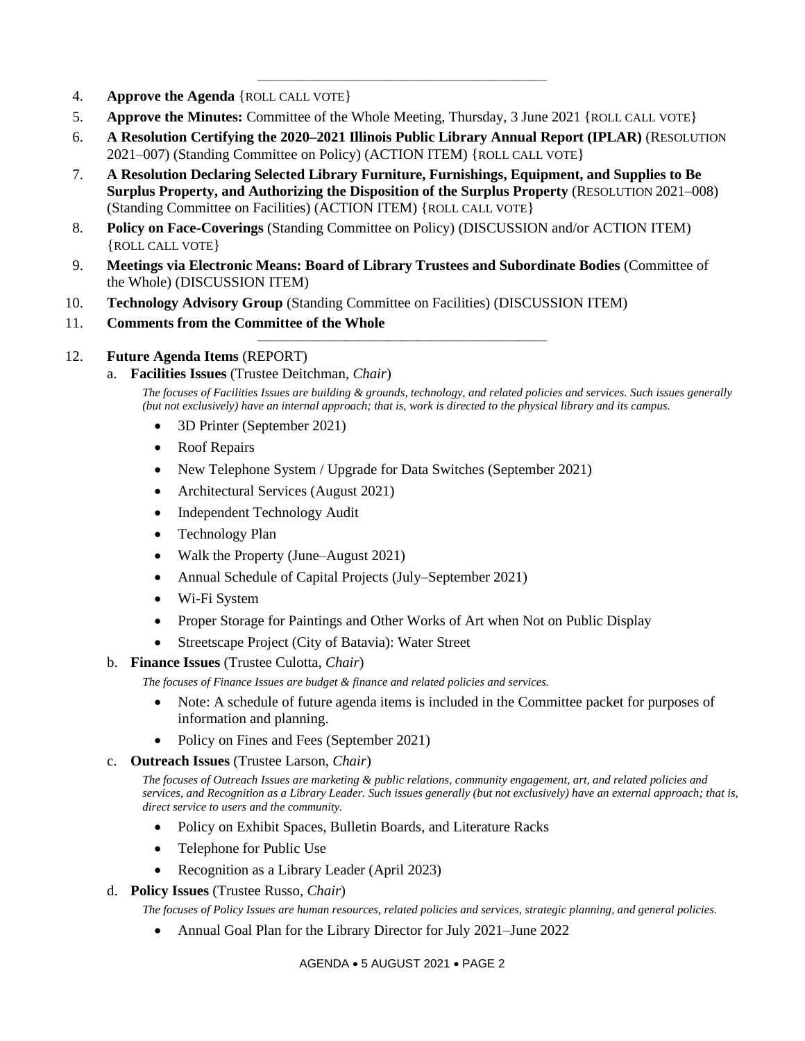- 4. **Approve the Agenda** {ROLL CALL VOTE}
- 5. **Approve the Minutes:** Committee of the Whole Meeting, Thursday, 3 June 2021 {ROLL CALL VOTE}
- 6. **A Resolution Certifying the 2020–2021 Illinois Public Library Annual Report (IPLAR)** (RESOLUTION 2021–007) (Standing Committee on Policy) (ACTION ITEM) {ROLL CALL VOTE}

————————————————————

- 7. **A Resolution Declaring Selected Library Furniture, Furnishings, Equipment, and Supplies to Be Surplus Property, and Authorizing the Disposition of the Surplus Property** (RESOLUTION 2021–008) (Standing Committee on Facilities) (ACTION ITEM) {ROLL CALL VOTE}
- 8. **Policy on Face-Coverings** (Standing Committee on Policy) (DISCUSSION and/or ACTION ITEM) {ROLL CALL VOTE}
- 9. **Meetings via Electronic Means: Board of Library Trustees and Subordinate Bodies** (Committee of the Whole) (DISCUSSION ITEM)

————————————————————

- 10. **Technology Advisory Group** (Standing Committee on Facilities) (DISCUSSION ITEM)
- 11. **Comments from the Committee of the Whole**

### 12. **Future Agenda Items** (REPORT)

a. **Facilities Issues** (Trustee Deitchman, *Chair*)

*The focuses of Facilities Issues are building & grounds, technology, and related policies and services. Such issues generally (but not exclusively) have an internal approach; that is, work is directed to the physical library and its campus.*

- 3D Printer (September 2021)
- Roof Repairs
- New Telephone System / Upgrade for Data Switches (September 2021)
- Architectural Services (August 2021)
- Independent Technology Audit
- Technology Plan
- Walk the Property (June–August 2021)
- Annual Schedule of Capital Projects (July–September 2021)
- Wi-Fi System
- Proper Storage for Paintings and Other Works of Art when Not on Public Display
- Streetscape Project (City of Batavia): Water Street

### b. **Finance Issues** (Trustee Culotta, *Chair*)

*The focuses of Finance Issues are budget & finance and related policies and services.*

- Note: A schedule of future agenda items is included in the Committee packet for purposes of information and planning.
- Policy on Fines and Fees (September 2021)
- c. **Outreach Issues** (Trustee Larson, *Chair*)

*The focuses of Outreach Issues are marketing & public relations, community engagement, art, and related policies and services, and Recognition as a Library Leader. Such issues generally (but not exclusively) have an external approach; that is, direct service to users and the community.*

- Policy on Exhibit Spaces, Bulletin Boards, and Literature Racks
- Telephone for Public Use
- Recognition as a Library Leader (April 2023)

### d. **Policy Issues** (Trustee Russo, *Chair*)

*The focuses of Policy Issues are human resources, related policies and services, strategic planning, and general policies.*

• Annual Goal Plan for the Library Director for July 2021–June 2022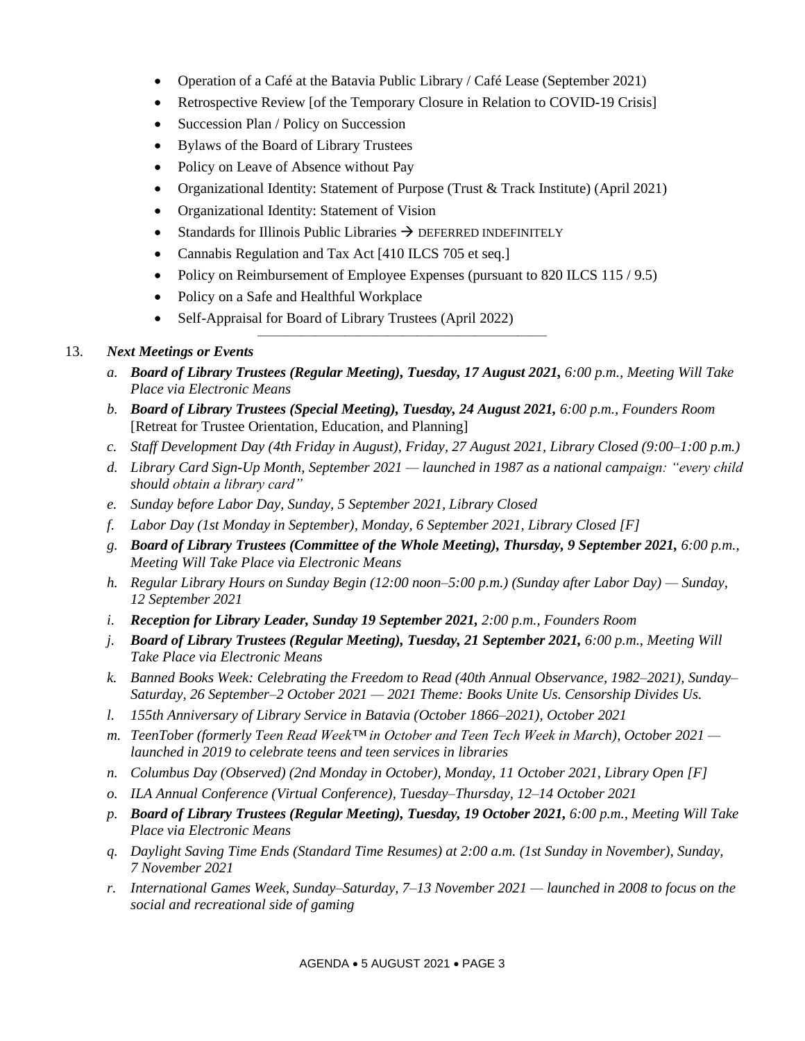- Operation of a Café at the Batavia Public Library / Café Lease (September 2021)
- Retrospective Review [of the Temporary Closure in Relation to COVID-19 Crisis]
- Succession Plan / Policy on Succession
- Bylaws of the Board of Library Trustees
- Policy on Leave of Absence without Pay
- Organizational Identity: Statement of Purpose (Trust & Track Institute) (April 2021)
- Organizational Identity: Statement of Vision
- Standards for Illinois Public Libraries  $\rightarrow$  DEFERRED INDEFINITELY
- Cannabis Regulation and Tax Act [410 ILCS 705 et seq.]
- Policy on Reimbursement of Employee Expenses (pursuant to 820 ILCS 115 / 9.5)

————————————————————

- Policy on a Safe and Healthful Workplace
- Self-Appraisal for Board of Library Trustees (April 2022)

## 13. *Next Meetings or Events*

- *a. Board of Library Trustees (Regular Meeting), Tuesday, 17 August 2021, 6:00 p.m., Meeting Will Take Place via Electronic Means*
- *b. Board of Library Trustees (Special Meeting), Tuesday, 24 August 2021, 6:00 p.m., Founders Room*  [Retreat for Trustee Orientation, Education, and Planning]
- *c. Staff Development Day (4th Friday in August), Friday, 27 August 2021, Library Closed (9:00–1:00 p.m.)*
- *d. Library Card Sign-Up Month, September 2021 — launched in 1987 as a national campaign: "every child should obtain a library card"*
- *e. Sunday before Labor Day, Sunday, 5 September 2021, Library Closed*
- *f. Labor Day (1st Monday in September), Monday, 6 September 2021, Library Closed [F]*
- *g. Board of Library Trustees (Committee of the Whole Meeting), Thursday, 9 September 2021, 6:00 p.m., Meeting Will Take Place via Electronic Means*
- *h. Regular Library Hours on Sunday Begin (12:00 noon–5:00 p.m.) (Sunday after Labor Day) — Sunday, 12 September 2021*
- *i. Reception for Library Leader, Sunday 19 September 2021, 2:00 p.m., Founders Room*
- *j. Board of Library Trustees (Regular Meeting), Tuesday, 21 September 2021, 6:00 p.m., Meeting Will Take Place via Electronic Means*
- *k. Banned Books Week: Celebrating the Freedom to Read (40th Annual Observance, 1982–2021), Sunday– Saturday, 26 September–2 October 2021 — 2021 Theme: Books Unite Us. Censorship Divides Us.*
- *l. 155th Anniversary of Library Service in Batavia (October 1866–2021), October 2021*
- *m. TeenTober (formerly Teen Read Week™ in October and Teen Tech Week in March), October 2021 launched in 2019 to celebrate teens and teen services in libraries*
- *n. Columbus Day (Observed) (2nd Monday in October), Monday, 11 October 2021, Library Open [F]*
- *o. ILA Annual Conference (Virtual Conference), Tuesday–Thursday, 12–14 October 2021*
- *p. Board of Library Trustees (Regular Meeting), Tuesday, 19 October 2021, 6:00 p.m., Meeting Will Take Place via Electronic Means*
- *q. Daylight Saving Time Ends (Standard Time Resumes) at 2:00 a.m. (1st Sunday in November), Sunday, 7 November 2021*
- *r. International Games Week, Sunday–Saturday, 7–13 November 2021 — launched in 2008 to focus on the social and recreational side of gaming*